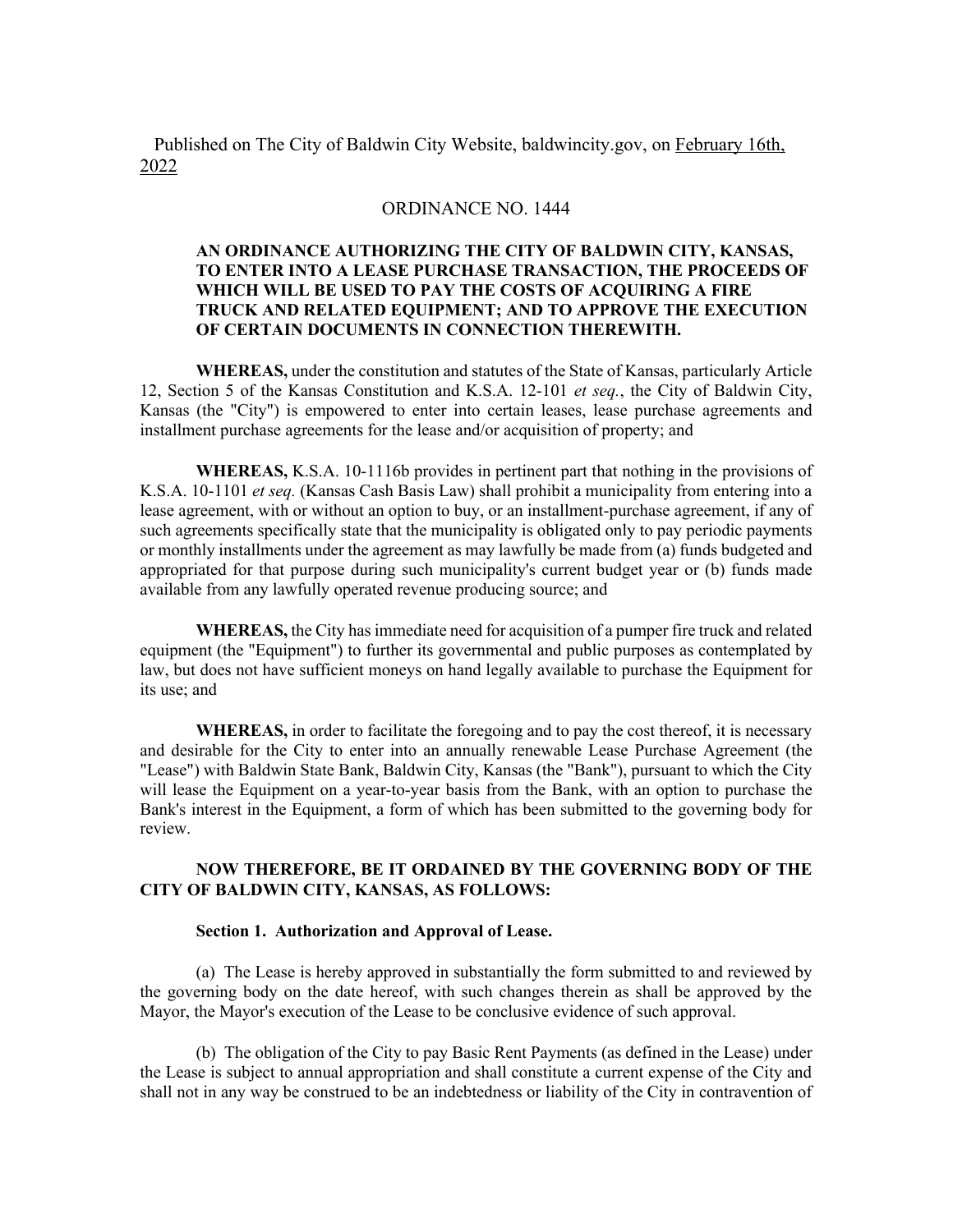Published on The City of Baldwin City Website, baldwincity.gov, on February 16th, 2022

## ORDINANCE NO. 1444

## **AN ORDINANCE AUTHORIZING THE CITY OF BALDWIN CITY, KANSAS, TO ENTER INTO A LEASE PURCHASE TRANSACTION, THE PROCEEDS OF WHICH WILL BE USED TO PAY THE COSTS OF ACQUIRING A FIRE TRUCK AND RELATED EQUIPMENT; AND TO APPROVE THE EXECUTION OF CERTAIN DOCUMENTS IN CONNECTION THEREWITH.**

**WHEREAS,** under the constitution and statutes of the State of Kansas, particularly Article 12, Section 5 of the Kansas Constitution and K.S.A. 12-101 *et seq.*, the City of Baldwin City, Kansas (the "City") is empowered to enter into certain leases, lease purchase agreements and installment purchase agreements for the lease and/or acquisition of property; and

**WHEREAS,** K.S.A. 10-1116b provides in pertinent part that nothing in the provisions of K.S.A. 10-1101 *et seq.* (Kansas Cash Basis Law) shall prohibit a municipality from entering into a lease agreement, with or without an option to buy, or an installment-purchase agreement, if any of such agreements specifically state that the municipality is obligated only to pay periodic payments or monthly installments under the agreement as may lawfully be made from (a) funds budgeted and appropriated for that purpose during such municipality's current budget year or (b) funds made available from any lawfully operated revenue producing source; and

**WHEREAS,** the City has immediate need for acquisition of a pumper fire truck and related equipment (the "Equipment") to further its governmental and public purposes as contemplated by law, but does not have sufficient moneys on hand legally available to purchase the Equipment for its use; and

**WHEREAS,** in order to facilitate the foregoing and to pay the cost thereof, it is necessary and desirable for the City to enter into an annually renewable Lease Purchase Agreement (the "Lease") with Baldwin State Bank, Baldwin City, Kansas (the "Bank"), pursuant to which the City will lease the Equipment on a year-to-year basis from the Bank, with an option to purchase the Bank's interest in the Equipment, a form of which has been submitted to the governing body for review.

## **NOW THEREFORE, BE IT ORDAINED BY THE GOVERNING BODY OF THE CITY OF BALDWIN CITY, KANSAS, AS FOLLOWS:**

## **Section 1. Authorization and Approval of Lease.**

(a) The Lease is hereby approved in substantially the form submitted to and reviewed by the governing body on the date hereof, with such changes therein as shall be approved by the Mayor, the Mayor's execution of the Lease to be conclusive evidence of such approval.

(b) The obligation of the City to pay Basic Rent Payments (as defined in the Lease) under the Lease is subject to annual appropriation and shall constitute a current expense of the City and shall not in any way be construed to be an indebtedness or liability of the City in contravention of